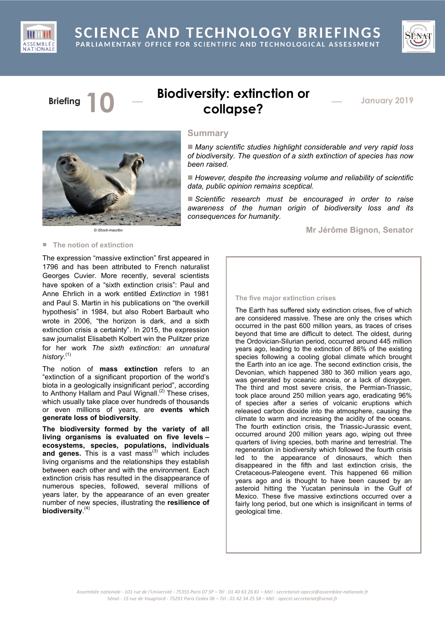



# **Briefing 10** \_\_\_ **Biodiversity: extinction or collapse?**

\_\_ **January <sup>2019</sup>**



*© iStock-mauribo*

# **Summary**

 *Many scientific studies highlight considerable and very rapid loss of biodiversity. The question of a sixth extinction of species has now been raised.*

 *However, despite the increasing volume and reliability of scientific data, public opinion remains sceptical.*

 *Scientific research must be encouraged in order to raise awareness of the human origin of biodiversity loss and its consequences for humanity.*

**Mr Jérôme Bignon, Senator**

# ■ **The notion of extinction**

The expression "massive extinction" first appeared in 1796 and has been attributed to French naturalist Georges Cuvier. More recently, several scientists have spoken of a "sixth extinction crisis": Paul and Anne Ehrlich in a work entitled *Extinction* in 1981 and Paul S. Martin in his publications on "the overkill hypothesis" in 1984, but also Robert Barbault who wrote in 2006, "the horizon is dark, and a sixth extinction crisis a certainty". In 2015, the expression saw journalist Elisabeth Kolbert win the Pulitzer prize for her work *The sixth extinction: an unnatural history.* (1)

The notion of **mass extinction** refers to an "extinction of a significant proportion of the world's biota in a geologically insignificant period", according to Anthony Hallam and Paul Wignall.<sup>(2)</sup> These crises, which usually take place over hundreds of thousands or even millions of years, are **events which generate loss of biodiversity**.

**The biodiversity formed by the variety of all living organisms is evaluated on five levels – ecosystems, species, populations, individuals** and genes. This is a vast mass<sup>(3)</sup> which includes living organisms and the relationships they establish between each other and with the environment. Each extinction crisis has resulted in the disappearance of numerous species, followed, several millions of years later, by the appearance of an even greater number of new species, illustrating the **resilience of biodiversity**. (4)

### **The five major extinction crises**

The Earth has suffered sixty extinction crises, five of which are considered massive. These are only the crises which occurred in the past 600 million years, as traces of crises beyond that time are difficult to detect. The oldest, during the Ordovician-Silurian period, occurred around 445 million years ago, leading to the extinction of 86% of the existing species following a cooling global climate which brought the Earth into an ice age. The second extinction crisis, the Devonian, which happened 380 to 360 million years ago, was generated by oceanic anoxia, or a lack of dioxygen. The third and most severe crisis, the Permian-Triassic, took place around 250 million years ago, eradicating 96% of species after a series of volcanic eruptions which released carbon dioxide into the atmosphere, causing the climate to warm and increasing the acidity of the oceans. The fourth extinction crisis, the Triassic-Jurassic event, occurred around 200 million years ago, wiping out three quarters of living species, both marine and terrestrial. The regeneration in biodiversity which followed the fourth crisis led to the appearance of dinosaurs, which then disappeared in the fifth and last extinction crisis, the Cretaceous-Paleogene event. This happened 66 million years ago and is thought to have been caused by an asteroid hitting the Yucatan peninsula in the Gulf of Mexico. These five massive extinctions occurred over a fairly long period, but one which is insignificant in terms of geological time.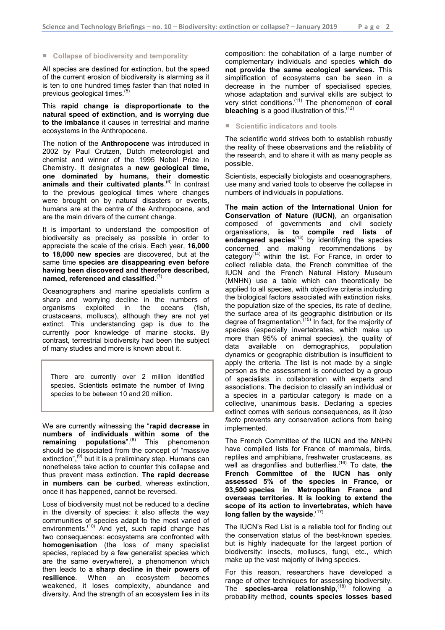# ■ **Collapse of biodiversity and temporality**

All species are destined for extinction, but the speed of the current erosion of biodiversity is alarming as it is ten to one hundred times faster than that noted in previous geological times.<sup>(5)</sup>

This **rapid change is disproportionate to the natural speed of extinction, and is worrying due to the imbalance** it causes in terrestrial and marine ecosystems in the Anthropocene.

The notion of the **Anthropocene** was introduced in 2002 by Paul Crutzen, Dutch meteorologist and chemist and winner of the 1995 Nobel Prize in Chemistry. It designates a **new geological time, one dominated by humans, their domestic animals and their cultivated plants**. (6) In contrast to the previous geological times where changes were brought on by natural disasters or events, humans are at the centre of the Anthropocene, and are the main drivers of the current change.

It is important to understand the composition of biodiversity as precisely as possible in order to appreciate the scale of the crisis. Each year, **16,000 to 18,000 new species** are discovered, but at the same time **species are disappearing even before having been discovered and therefore described, named, referenced and classified**. (7)

Oceanographers and marine specialists confirm a sharp and worrying decline in the numbers of organisms exploited in the oceans (fish, crustaceans, molluscs), although they are not yet extinct. This understanding gap is due to the currently poor knowledge of marine stocks. By contrast, terrestrial biodiversity had been the subject of many studies and more is known about it.

There are currently over 2 million identified species. Scientists estimate the number of living species to be between 10 and 20 million.

We are currently witnessing the "**rapid decrease in numbers of individuals within some of the remaining populations**". (8) This phenomenon should be dissociated from the concept of "massive extinction",<sup>(9)</sup> but it is a preliminary step. Humans can nonetheless take action to counter this collapse and thus prevent mass extinction. **The rapid decrease in numbers can be curbed**, whereas extinction, once it has happened, cannot be reversed.

Loss of biodiversity must not be reduced to a decline in the diversity of species: it also affects the way communities of species adapt to the most varied of environments.<sup>(10)</sup> And yet, such rapid change has two consequences: ecosystems are confronted with **homogenisation** (the loss of many specialist species, replaced by a few generalist species which are the same everywhere), a phenomenon which then leads to **a sharp decline in their powers of resilience**. When an ecosystem becomes weakened, it loses complexity, abundance and diversity. And the strength of an ecosystem lies in its composition: the cohabitation of a large number of complementary individuals and species **which do not provide the same ecological services.** This simplification of ecosystems can be seen in a decrease in the number of specialised species, whose adaptation and survival skills are subject to very strict conditions. (11) The phenomenon of **coral bleaching** is a good illustration of this.<sup>(12)</sup>

# ■ **Scientific indicators and tools**

The scientific world strives both to establish robustly the reality of these observations and the reliability of the research, and to share it with as many people as possible.

Scientists, especially biologists and oceanographers, use many and varied tools to observe the collapse in numbers of individuals in populations.

**The main action of the International Union for Conservation of Nature (IUCN)**, an organisation composed of governments and civil society organisations, **is to compile red lists of endangered species**(13) by identifying the species concerned and making recommendations by category<sup> $(14)$ </sup> within the list. For France, in order to collect reliable data, the French committee of the IUCN and the French Natural History Museum (MNHN) use a table which can theoretically be applied to all species, with objective criteria including the biological factors associated with extinction risks, the population size of the species, its rate of decline, the surface area of its geographic distribution or its degree of fragmentation.<sup>(15)</sup> In fact, for the majority of species (especially invertebrates, which make up more than 95% of animal species), the quality of data available on demographics, population dynamics or geographic distribution is insufficient to apply the criteria. The list is not made by a single person as the assessment is conducted by a group of specialists in collaboration with experts and associations. The decision to classify an individual or a species in a particular category is made on a collective, unanimous basis. Declaring a species extinct comes with serious consequences, as it *ipso facto* prevents any conservation actions from being implemented.

The French Committee of the IUCN and the MNHN have compiled lists for France of mammals, birds, reptiles and amphibians, freshwater crustaceans, as well as dragonflies and butterflies. (16) To date, **the French Committee of the IUCN has only assessed 5% of the species in France, or 93,500 species in Metropolitan France and overseas territories. It is looking to extend the scope of its action to invertebrates, which have long fallen by the wayside**. (17)

The IUCN's Red List is a reliable tool for finding out the conservation status of the best-known species, but is highly inadequate for the largest portion of biodiversity: insects, molluscs, fungi, etc., which make up the vast majority of living species.

For this reason, researchers have developed a range of other techniques for assessing biodiversity. The **species-area relationship**,<sup>(18)</sup> following a probability method, **counts species losses based**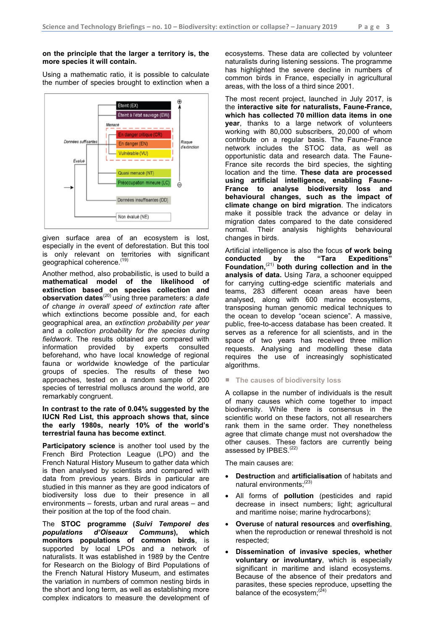# **on the principle that the larger a territory is, the more species it will contain.**

Using a mathematic ratio, it is possible to calculate the number of species brought to extinction when a



given surface area of an ecosystem is lost, especially in the event of deforestation. But this tool is only relevant on territories with significant geographical coherence.<sup>(19)</sup>

Another method, also probabilistic, is used to build a **mathematical model of the likelihood of extinction based on species collection and observation dates**(20) using three parameters: a *date of change in overall speed of extinction rate* after which extinctions become possible and, for each geographical area, an *extinction probability per year* and a *collection probability for the species during fieldwork*. The results obtained are compared with information provided by experts consulted beforehand, who have local knowledge of regional fauna or worldwide knowledge of the particular groups of species. The results of these two approaches, tested on a random sample of 200 species of terrestrial molluscs around the world, are remarkably congruent.

**In contrast to the rate of 0.04% suggested by the IUCN Red List, this approach shows that, since the early 1980s, nearly 10% of the world's terrestrial fauna has become extinct**.

**Participatory science** is another tool used by the French Bird Protection League (LPO) and the French Natural History Museum to gather data which is then analysed by scientists and compared with data from previous years. Birds in particular are studied in this manner as they are good indicators of biodiversity loss due to their presence in all environments – forests, urban and rural areas – and their position at the top of the food chain.

The **STOC programme (***Suivi Temporel des populations d'Oiseaux Communs***), which monitors populations of common birds**, is supported by local LPOs and a network of naturalists. It was established in 1989 by the Centre for Research on the Biology of Bird Populations of the French Natural History Museum, and estimates the variation in numbers of common nesting birds in the short and long term, as well as establishing more complex indicators to measure the development of

ecosystems. These data are collected by volunteer naturalists during listening sessions. The programme has highlighted the severe decline in numbers of common birds in France, especially in agricultural areas, with the loss of a third since 2001.

The most recent project, launched in July 2017, is the **interactive site for naturalists, Faune-France, which has collected 70 million data items in one year**, thanks to a large network of volunteers working with 80,000 subscribers, 20,000 of whom contribute on a regular basis. The Faune-France network includes the STOC data, as well as opportunistic data and research data. The Faune-France site records the bird species, the sighting location and the time. **These data are processed using artificial intelligence, enabling Faune-France to analyse biodiversity loss and behavioural changes, such as the impact of climate change on bird migration**. The indicators make it possible track the advance or delay in migration dates compared to the date considered normal. Their analysis highlights behavioural changes in birds.

Artificial intelligence is also the focus **of work being conducted by the "Tara Expeditions" Foundation,** (21) **both during collection and in the analysis of data.** Using *Tara*, a schooner equipped for carrying cutting-edge scientific materials and teams, 283 different ocean areas have been analysed, along with 600 marine ecosystems, transposing human genomic medical techniques to the ocean to develop "ocean science". A massive, public, free-to-access database has been created. It serves as a reference for all scientists, and in the space of two years has received three million requests. Analysing and modelling these data requires the use of increasingly sophisticated algorithms.

# ■ **The causes of biodiversity loss**

A collapse in the number of individuals is the result of many causes which come together to impact biodiversity. While there is consensus in the scientific world on these factors, not all researchers rank them in the same order. They nonetheless agree that climate change must not overshadow the other causes. These factors are currently being assessed by IPBES.<sup>(22)</sup>

The main causes are:

- **Destruction** and **artificialisation** of habitats and natural environments;<sup>(23)</sup>
- All forms of **pollution** (pesticides and rapid decrease in insect numbers; light; agricultural and maritime noise; marine hydrocarbons);
- **Overuse** of **natural resources** and **overfishing**, when the reproduction or renewal threshold is not respected;
- **Dissemination of invasive species, whether voluntary or involuntary**, which is especially significant in maritime and island ecosystems. Because of the absence of their predators and parasites, these species reproduce, upsetting the balance of the ecosystem; $^{(24)}$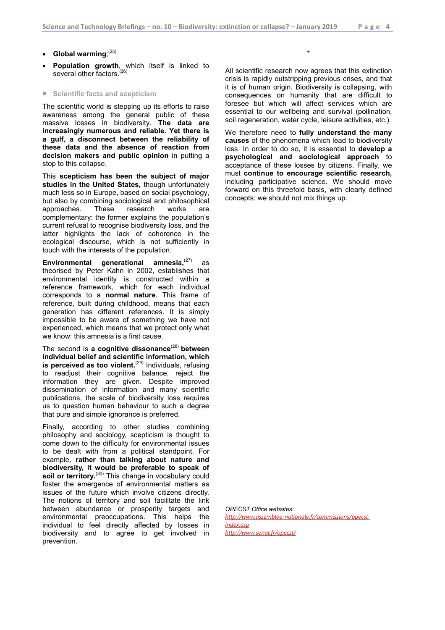- Global warming;<sup>(25)</sup>
- **Population growth**, which itself is linked to several other factors.<sup>(26)</sup>

### ■ **Scientific facts and scepticism**

The scientific world is stepping up its efforts to raise awareness among the general public of these massive losses in biodiversity. **The data are increasingly numerous and reliable. Yet there is a gulf, a disconnect between the reliability of these data and the absence of reaction from decision makers and public opinion** in putting a stop to this collapse.

This **scepticism has been the subject of major studies in the United States,** though unfortunately much less so in Europe, based on social psychology, but also by combining sociological and philosophical approaches. These research works are complementary: the former explains the population's current refusal to recognise biodiversity loss, and the latter highlights the lack of coherence in the ecological discourse, which is not sufficiently in touch with the interests of the population.

**Environmental generational amnesia,** (27) as theorised by Peter Kahn in 2002, establishes that environmental identity is constructed within a reference framework, which for each individual corresponds to a **normal nature**. This frame of reference, built during childhood, means that each generation has different references. It is simply impossible to be aware of something we have not experienced, which means that we protect only what we know: this amnesia is a first cause.

The second is **a cognitive dissonance**(28) **between individual belief and scientific information, which is perceived as too violent.** (29) Individuals, refusing to readjust their cognitive balance, reject the information they are given. Despite improved dissemination of information and many scientific publications, the scale of biodiversity loss requires us to question human behaviour to such a degree that pure and simple ignorance is preferred.

Finally, according to other studies combining philosophy and sociology, scepticism is thought to come down to the difficulty for environmental issues to be dealt with from a political standpoint. For example, **rather than talking about nature and biodiversity, it would be preferable to speak of soil or territory.** (30) This change in vocabulary could foster the emergence of environmental matters as issues of the future which involve citizens directly. The notions of territory and soil facilitate the link between abundance or prosperity targets and environmental preoccupations. This helps the individual to feel directly affected by losses in biodiversity and to agree to get involved in prevention.

All scientific research now agrees that this extinction crisis is rapidly outstripping previous crises, and that it is of human origin. Biodiversity is collapsing, with consequences on humanity that are difficult to foresee but which will affect services which are essential to our wellbeing and survival (pollination, soil regeneration, water cycle, leisure activities, etc.).

\*

We therefore need to **fully understand the many causes** of the phenomena which lead to biodiversity loss. In order to do so, it is essential to **develop a psychological and sociological approach** to acceptance of these losses by citizens. Finally, we must **continue to encourage scientific research,** including participative science. We should move forward on this threefold basis, with clearly defined concepts: we should not mix things up.

*OPECST Office websites:*

*[http://www.assemblee-nationale.fr/commissions/opecst](http://www.assemblee-nationale.fr/commissions/opecst-index.asp)[index.asp](http://www.assemblee-nationale.fr/commissions/opecst-index.asp) <http://www.senat.fr/opecst/>*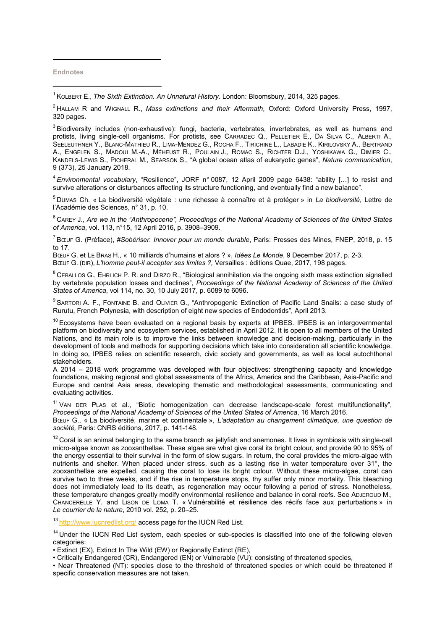**Endnotes**

**\_\_\_\_\_\_\_\_\_\_\_\_\_\_\_\_\_\_\_\_\_\_\_\_\_\_\_\_\_**

j

1 KOLBERT E., *The Sixth Extinction. An Unnatural History*. London: Bloomsbury, 2014, 325 pages.

<sup>2</sup> HALLAM R and WIGNALL R., *Mass extinctions and their Aftermath*, Oxford: Oxford University Press, 1997, 320 pages.

 $3$ Biodiversity includes (non-exhaustive): fungi, bacteria, vertebrates, invertebrates, as well as humans and protists, living single-cell organisms. For protists, see CARRADEC Q., PELLETIER E., DA SILVA C., ALBERTI A., SEELEUTHNER Y., BLANC-MATHIEU R., LIMA-MENDEZ G., ROCHA F., TIRICHINE L., LABADIE K., KIRILOVSKY A., BERTRAND A., ENGELEN S., MADOUI M.-A., MÉHEUST R., POULAIN J., ROMAC S., RICHTER D.J., YOSHIKAWA G., DIMIER C., KANDELS-LEWIS S., PICHERAL M., SEARSON S., "A global ocean atlas of eukaryotic genes", *Nature communication*, 9 (373), 25 January 2018.

4 *Environmental vocabulary*, "Resilience", JORF n° 0087, 12 April 2009 page 6438: "ability […] to resist and survive alterations or disturbances affecting its structure functioning, and eventually find a new balance".

<sup>5</sup> DUMAS Ch. « La biodiversité végétale : une richesse à connaître et à protéger » in *La biodiversité*, Lettre de l'Académie des Sciences, n° 31, p. 10.

<sup>6</sup> CAREY J., Are we in the "Anthropocene", Proceedings of the National Academy of Sciences of the United States *of America*, vol. 113, n°15, 12 April 2016, p. 3908–3909.

7 BŒUF G. (Préface), *#Sobériser. Innover pour un monde durable*, Paris: Presses des Mines, FNEP, 2018, p. 15 to 17.

BŒUF G. et LE BRAS H., « 10 milliards d'humains et alors ? », *Idées Le Monde*, 9 December 2017, p. 2-3. BŒUF G. (DIR), *L'homme peut-il accepter ses limites ?,* Versailles : éditions Quae, 2017, 198 pages.

 $8$  CEBALLOS G., EHRLICH P. R. and DIRZO R., "Biological annihilation via the ongoing sixth mass extinction signalled by vertebrate population losses and declines", *Proceedings of the National Academy of Sciences of the United States of America*, vol 114, no. 30, 10 July 2017, p. 6089 to 6096.

<sup>9</sup> SARTORI A. F., FONTAINE B. and OLIVIER G., "Anthropogenic Extinction of Pacific Land Snails: a case study of Rurutu, French Polynesia, with description of eight new species of Endodontids", April 2013.

 $10$  Ecosystems have been evaluated on a regional basis by experts at IPBES. IPBES is an intergovernmental platform on biodiversity and ecosystem services, established in April 2012. It is open to all members of the United Nations, and its main role is to improve the links between knowledge and decision-making, particularly in the development of tools and methods for supporting decisions which take into consideration all scientific knowledge. In doing so, IPBES relies on scientific research, civic society and governments, as well as local autochthonal stakeholders.

A 2014 – 2018 work programme was developed with four objectives: strengthening capacity and knowledge foundations, making regional and global assessments of the Africa, America and the Caribbean, Asia-Pacific and Europe and central Asia areas, developing thematic and methodological assessments, communicating and evaluating activities.

<sup>11</sup> VAN DER PLAS et al., "Biotic homogenization can decrease landscape-scale forest multifunctionality", *Proceedings of the National Academy of Sciences of the United States of America*, 16 March 2016.

BŒUF G., « La biodiversité, marine et continentale », *L'adaptation au changement climatique, une question de société,* Paris: CNRS éditions, 2017, p. 141-148.

 $12$  Coral is an animal belonging to the same branch as jellyfish and anemones. It lives in symbiosis with single-cell micro-algae known as zooxanthellae. These algae are what give coral its bright colour, and provide 90 to 95% of the energy essential to their survival in the form of slow sugars. In return, the coral provides the micro-algae with nutrients and shelter. When placed under stress, such as a lasting rise in water temperature over 31°, the zooxanthellae are expelled, causing the coral to lose its bright colour. Without these micro-algae, coral can survive two to three weeks, and if the rise in temperature stops, thy suffer only minor mortality. This bleaching does not immediately lead to its death, as regeneration may occur following a period of stress. Nonetheless, these temperature changes greatly modify environmental resilience and balance in coral reefs. See ADJEROUD M., CHANCERELLE Y. and LISON DE LOMA T. « Vulnérabilité et résilience des récifs face aux perturbations » in *Le courrier de la nature*, 2010 vol. 252, p. 20–25.

13 <http://www.iucnredlist.org/> access page for the IUCN Red List.

<sup>14</sup> Under the IUCN Red List system, each species or sub-species is classified into one of the following eleven categories:

• Extinct (EX), Extinct In The Wild (EW) or Regionally Extinct (RE),

• Critically Endangered (CR), Endangered (EN) or Vulnerable (VU): consisting of threatened species,

• Near Threatened (NT): species close to the threshold of threatened species or which could be threatened if specific conservation measures are not taken,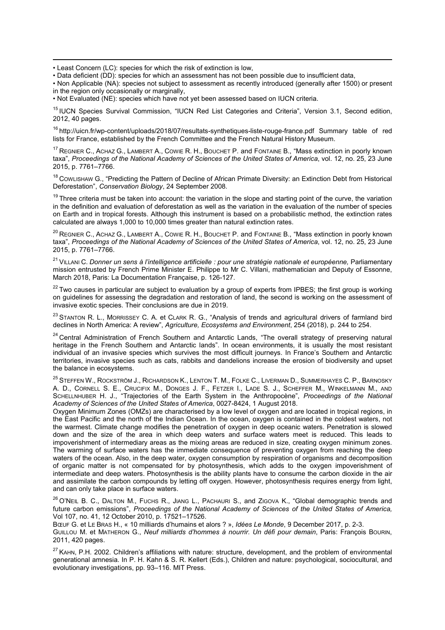-• Least Concern (LC): species for which the risk of extinction is low,

• Data deficient (DD): species for which an assessment has not been possible due to insufficient data,

• Non Applicable (NA): species not subject to assessment as recently introduced (generally after 1500) or present in the region only occasionally or marginally,

• Not Evaluated (NE): species which have not yet been assessed based on IUCN criteria.

<sup>15</sup> IUCN Species Survival Commission, "IUCN Red List Categories and Criteria", Version 3.1, Second edition, 2012, 40 pages.

<sup>16</sup> <http://uicn.fr/wp-content/uploads/2018/07/resultats-synthetiques-liste-rouge-france.pdf> Summary table of red lists for France, established by the French Committee and the French Natural History Museum.

<sup>17</sup> REGNIER C., ACHAZ G., LAMBERT A., COWIE R. H., BOUCHET P. and FONTAINE B., "Mass extinction in poorly known taxa", *Proceedings of the National Academy of Sciences of the United States of America*, vol. 12, no. 25, 23 June 2015, p. 7761–7766.

<sup>18</sup> CowLISHAW G., "Predicting the Pattern of Decline of African Primate Diversity: an Extinction Debt from Historical Deforestation", *Conservation Biology*, 24 September 2008.

<sup>19</sup> Three criteria must be taken into account: the variation in the slope and starting point of the curve, the variation in the definition and evaluation of deforestation as well as the variation in the evaluation of the number of species on Earth and in tropical forests. Although this instrument is based on a probabilistic method, the extinction rates calculated are always 1,000 to 10,000 times greater than natural extinction rates.

<sup>20</sup> REGNIER C., ACHAZ G., LAMBERT A., COWIE R. H., BOUCHET P. and FONTAINE B., "Mass extinction in poorly known taxa", *Proceedings of the National Academy of Sciences of the United States of America*, vol. 12, no. 25, 23 June 2015, p. 7761–7766.

<sup>21</sup> VILLANI C. *Donner un sens à l'intelligence artificielle : pour une stratégie nationale et européenne,* Parliamentary mission entrusted by French Prime Minister E. Philippe to Mr C. Villani, mathematician and Deputy of Essonne, March 2018, Paris: La Documentation Française, p. 126-127.

 $22$  Two causes in particular are subject to evaluation by a group of experts from IPBES; the first group is working on guidelines for assessing the degradation and restoration of land, the second is working on the assessment of invasive exotic species. Their conclusions are due in 2019.

<sup>23</sup> STANTON R. L., MORRISSEY C. A. et CLARK R. G., "Analysis of trends and agricultural drivers of farmland bird declines in North America: A review", *Agriculture, Ecosystems and Environment*, 254 (2018), p. 244 to 254.

<sup>24</sup> Central Administration of French Southern and Antarctic Lands, "The overall strategy of preserving natural heritage in the French Southern and Antarctic lands". In ocean environments, it is usually the most resistant individual of an invasive species which survives the most difficult journeys. In France's Southern and Antarctic territories, invasive species such as cats, rabbits and dandelions increase the erosion of biodiversity and upset the balance in ecosystems.

<sup>25</sup> STEFFEN W., ROCKSTRÖM J., RICHARDSON K., LENTON T. M., FOLKE C., LIVERMAN D., SUMMERHAYES C. P., BARNOSKY A. D., CORNELL S. E., CRUCIFIX M., DONGES J. F., FETZER I., LADE S. J., SCHEFFER M., WINKELMANN M., AND SCHELLNHUBER H. J., "Trajectories of the Earth System in the Anthropocène", *Proceedings of the National Academy of Sciences of the United States of America*, 0027-8424, 1 August 2018.

Oxygen Minimum Zones (OMZs) are characterised by a low level of oxygen and are located in tropical regions, in the East Pacific and the north of the Indian Ocean. In the ocean, oxygen is contained in the coldest waters, not the warmest. Climate change modifies the penetration of oxygen in deep oceanic waters. Penetration is slowed down and the size of the area in which deep waters and surface waters meet is reduced. This leads to impoverishment of intermediary areas as the mixing areas are reduced in size, creating oxygen minimum zones. The warming of surface waters has the immediate consequence of preventing oxygen from reaching the deep waters of the ocean. Also, in the deep water, oxygen consumption by respiration of organisms and decomposition of organic matter is not compensated for by photosynthesis, which adds to the oxygen impoverishment of intermediate and deep waters. Photosynthesis is the ability plants have to consume the carbon dioxide in the air and assimilate the carbon compounds by letting off oxygen. However, photosynthesis requires energy from light, and can only take place in surface waters.

 $26$  O'NEIL B. C., DALTON M., FUCHS R., JIANG L., PACHAURI S., and ZIGOVA K., "Global demographic trends and future carbon emissions", *Proceedings of the National Academy of Sciences of the United States of America,* Vol 107, no. 41, 12 October 2010, p. 17521–17526.

BŒUF G. et LE BRAS H., « 10 milliards d'humains et alors ? », *Idées Le Monde*, 9 December 2017, p. 2-3.

GUILLOU M. et MATHERON G., *Neuf milliards d'hommes à nourrir. Un défi pour demain*, Paris: François BOURIN, 2011, 420 pages.

<sup>27</sup> KAHN, P.H. 2002. Children's affiliations with nature: structure, development, and the problem of environmental generational amnesia. In P. H. Kahn & S. R. Kellert (Eds.), Children and nature: psychological, sociocultural, and evolutionary investigations, pp. 93–116. MIT Press.